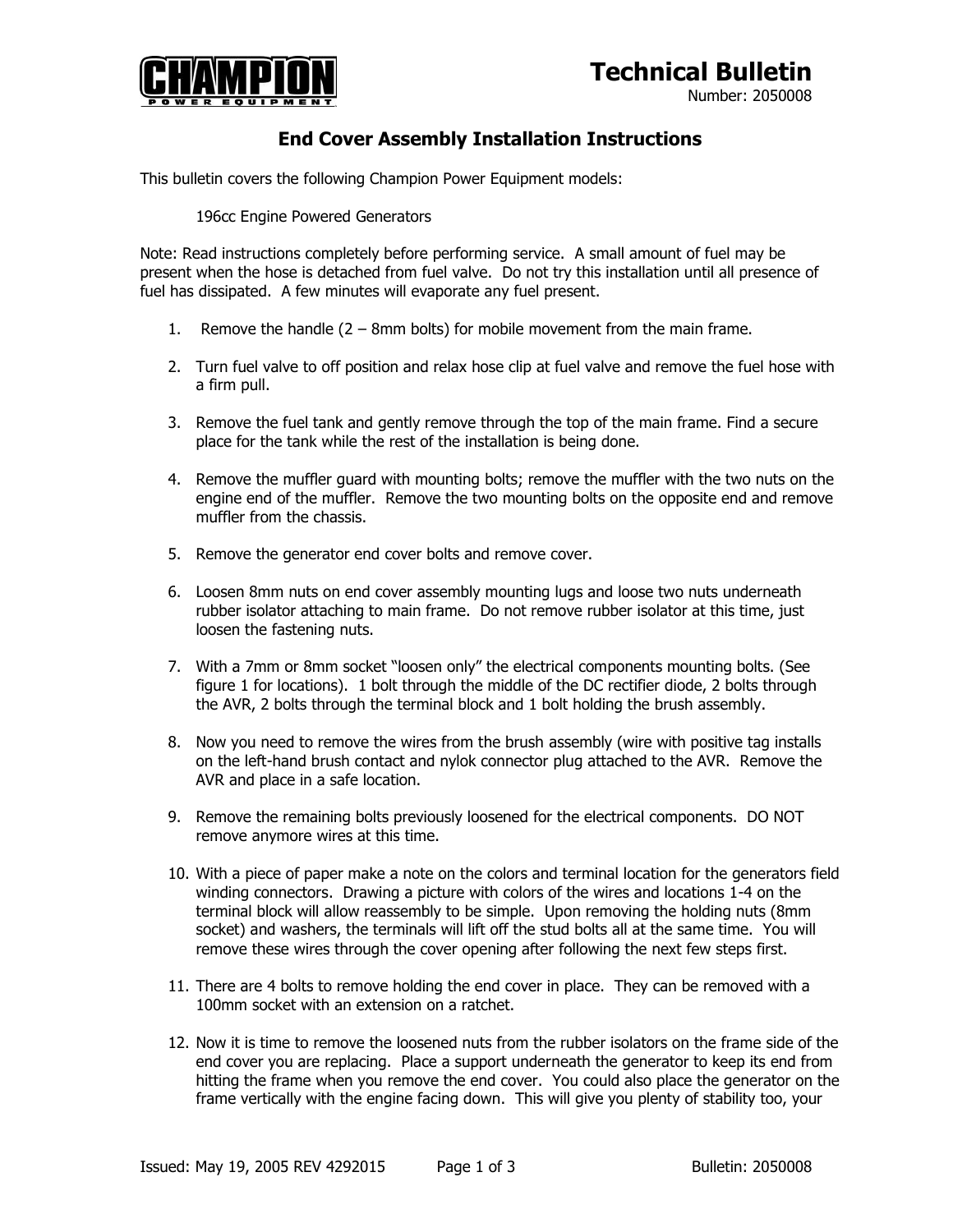## **Technical Bulletin**



Number: 2050008

## **End Cover Assembly Installation Instructions**

This bulletin covers the following Champion Power Equipment models:

196cc Engine Powered Generators

Note: Read instructions completely before performing service. A small amount of fuel may be present when the hose is detached from fuel valve. Do not try this installation until all presence of fuel has dissipated. A few minutes will evaporate any fuel present.

- 1. Remove the handle (2 8mm bolts) for mobile movement from the main frame.
- 2. Turn fuel valve to off position and relax hose clip at fuel valve and remove the fuel hose with a firm pull.
- 3. Remove the fuel tank and gently remove through the top of the main frame. Find a secure place for the tank while the rest of the installation is being done.
- 4. Remove the muffler guard with mounting bolts; remove the muffler with the two nuts on the engine end of the muffler. Remove the two mounting bolts on the opposite end and remove muffler from the chassis.
- 5. Remove the generator end cover bolts and remove cover.
- 6. Loosen 8mm nuts on end cover assembly mounting lugs and loose two nuts underneath rubber isolator attaching to main frame. Do not remove rubber isolator at this time, just loosen the fastening nuts.
- 7. With a 7mm or 8mm socket "loosen only" the electrical components mounting bolts. (See figure 1 for locations). 1 bolt through the middle of the DC rectifier diode, 2 bolts through the AVR, 2 bolts through the terminal block and 1 bolt holding the brush assembly.
- 8. Now you need to remove the wires from the brush assembly (wire with positive tag installs on the left-hand brush contact and nylok connector plug attached to the AVR. Remove the AVR and place in a safe location.
- 9. Remove the remaining bolts previously loosened for the electrical components. DO NOT remove anymore wires at this time.
- 10. With a piece of paper make a note on the colors and terminal location for the generators field winding connectors. Drawing a picture with colors of the wires and locations 1-4 on the terminal block will allow reassembly to be simple. Upon removing the holding nuts (8mm socket) and washers, the terminals will lift off the stud bolts all at the same time. You will remove these wires through the cover opening after following the next few steps first.
- 11. There are 4 bolts to remove holding the end cover in place. They can be removed with a 100mm socket with an extension on a ratchet.
- 12. Now it is time to remove the loosened nuts from the rubber isolators on the frame side of the end cover you are replacing. Place a support underneath the generator to keep its end from hitting the frame when you remove the end cover. You could also place the generator on the frame vertically with the engine facing down. This will give you plenty of stability too, your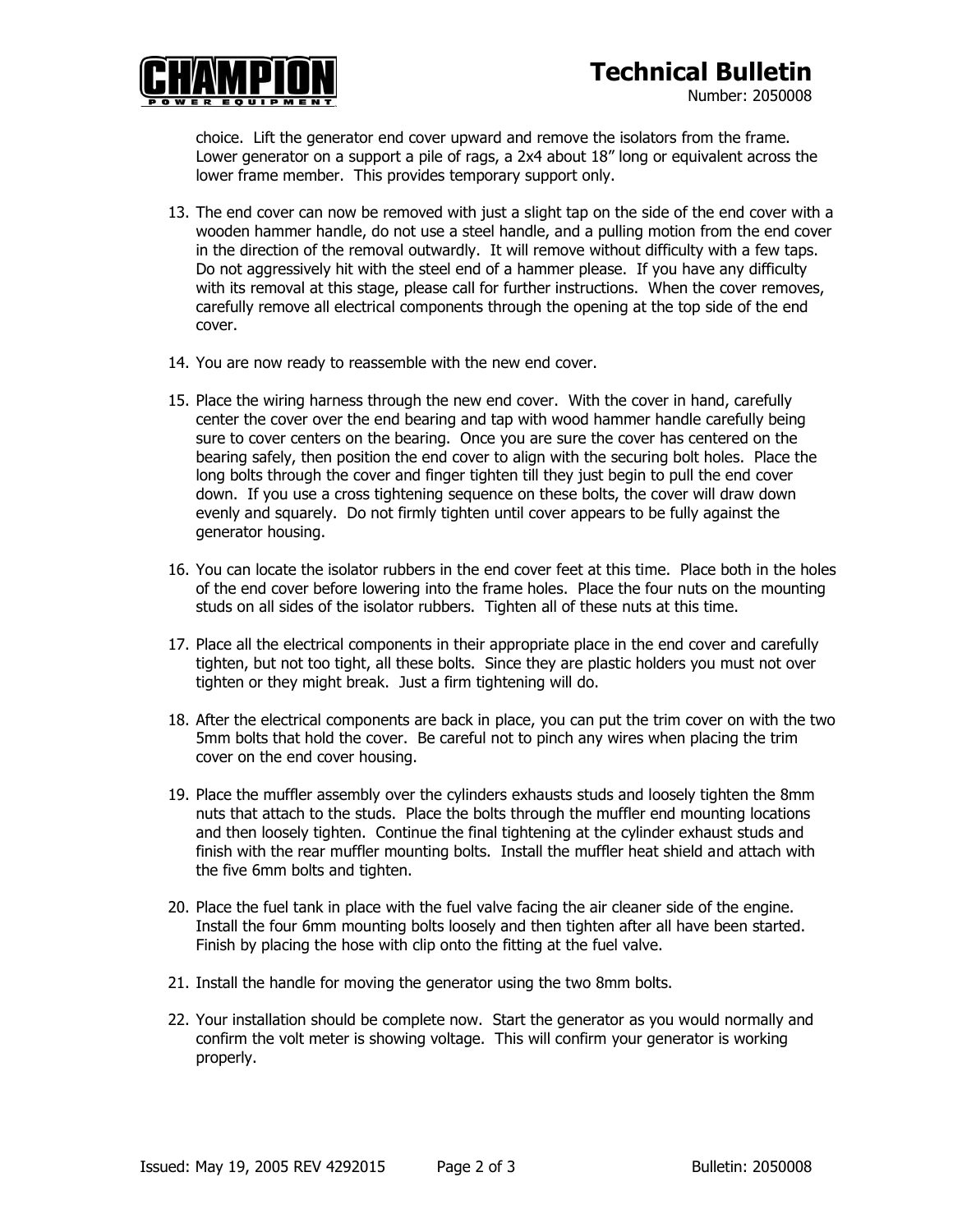## **Technical Bulletin**



Number: 2050008

choice. Lift the generator end cover upward and remove the isolators from the frame. Lower generator on a support a pile of rags, a 2x4 about 18" long or equivalent across the lower frame member. This provides temporary support only.

- 13. The end cover can now be removed with just a slight tap on the side of the end cover with a wooden hammer handle, do not use a steel handle, and a pulling motion from the end cover in the direction of the removal outwardly. It will remove without difficulty with a few taps. Do not aggressively hit with the steel end of a hammer please. If you have any difficulty with its removal at this stage, please call for further instructions. When the cover removes, carefully remove all electrical components through the opening at the top side of the end cover.
- 14. You are now ready to reassemble with the new end cover.
- 15. Place the wiring harness through the new end cover. With the cover in hand, carefully center the cover over the end bearing and tap with wood hammer handle carefully being sure to cover centers on the bearing. Once you are sure the cover has centered on the bearing safely, then position the end cover to align with the securing bolt holes. Place the long bolts through the cover and finger tighten till they just begin to pull the end cover down. If you use a cross tightening sequence on these bolts, the cover will draw down evenly and squarely. Do not firmly tighten until cover appears to be fully against the generator housing.
- 16. You can locate the isolator rubbers in the end cover feet at this time. Place both in the holes of the end cover before lowering into the frame holes. Place the four nuts on the mounting studs on all sides of the isolator rubbers. Tighten all of these nuts at this time.
- 17. Place all the electrical components in their appropriate place in the end cover and carefully tighten, but not too tight, all these bolts. Since they are plastic holders you must not over tighten or they might break. Just a firm tightening will do.
- 18. After the electrical components are back in place, you can put the trim cover on with the two 5mm bolts that hold the cover. Be careful not to pinch any wires when placing the trim cover on the end cover housing.
- 19. Place the muffler assembly over the cylinders exhausts studs and loosely tighten the 8mm nuts that attach to the studs. Place the bolts through the muffler end mounting locations and then loosely tighten. Continue the final tightening at the cylinder exhaust studs and finish with the rear muffler mounting bolts. Install the muffler heat shield and attach with the five 6mm bolts and tighten.
- 20. Place the fuel tank in place with the fuel valve facing the air cleaner side of the engine. Install the four 6mm mounting bolts loosely and then tighten after all have been started. Finish by placing the hose with clip onto the fitting at the fuel valve.
- 21. Install the handle for moving the generator using the two 8mm bolts.
- 22. Your installation should be complete now. Start the generator as you would normally and confirm the volt meter is showing voltage. This will confirm your generator is working properly.